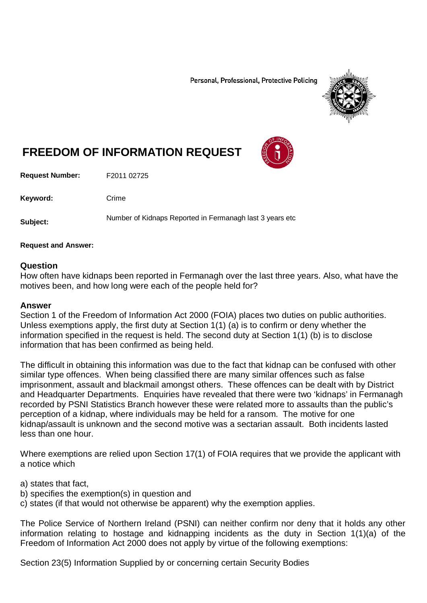Personal, Professional, Protective Policing



# **FREEDOM OF INFORMATION REQUEST**

**Request Number:** F2011 02725

Keyword: Crime

**Subject:** Number of Kidnaps Reported in Fermanagh last 3 years etc

#### **Request and Answer:**

#### **Question**

How often have kidnaps been reported in Fermanagh over the last three years. Also, what have the motives been, and how long were each of the people held for?

#### **Answer**

Section 1 of the Freedom of Information Act 2000 (FOIA) places two duties on public authorities. Unless exemptions apply, the first duty at Section 1(1) (a) is to confirm or deny whether the information specified in the request is held. The second duty at Section 1(1) (b) is to disclose information that has been confirmed as being held.

The difficult in obtaining this information was due to the fact that kidnap can be confused with other similar type offences. When being classified there are many similar offences such as false imprisonment, assault and blackmail amongst others. These offences can be dealt with by District and Headquarter Departments. Enquiries have revealed that there were two 'kidnaps' in Fermanagh recorded by PSNI Statistics Branch however these were related more to assaults than the public's perception of a kidnap, where individuals may be held for a ransom. The motive for one kidnap/assault is unknown and the second motive was a sectarian assault. Both incidents lasted less than one hour.

Where exemptions are relied upon Section 17(1) of FOIA requires that we provide the applicant with a notice which

- a) states that fact,
- b) specifies the exemption(s) in question and
- c) states (if that would not otherwise be apparent) why the exemption applies.

The Police Service of Northern Ireland (PSNI) can neither confirm nor deny that it holds any other information relating to hostage and kidnapping incidents as the duty in Section 1(1)(a) of the Freedom of Information Act 2000 does not apply by virtue of the following exemptions:

Section 23(5) Information Supplied by or concerning certain Security Bodies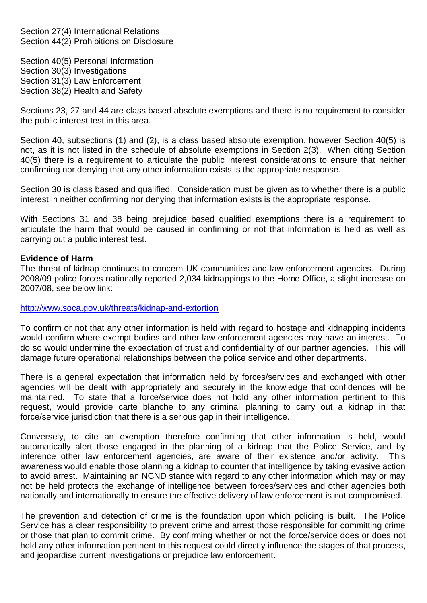Section 27(4) International Relations Section 44(2) Prohibitions on Disclosure

Section 40(5) Personal Information Section 30(3) Investigations Section 31(3) Law Enforcement Section 38(2) Health and Safety

Sections 23, 27 and 44 are class based absolute exemptions and there is no requirement to consider the public interest test in this area.

Section 40, subsections (1) and (2), is a class based absolute exemption, however Section 40(5) is not, as it is not listed in the schedule of absolute exemptions in Section 2(3). When citing Section 40(5) there is a requirement to articulate the public interest considerations to ensure that neither confirming nor denying that any other information exists is the appropriate response.

Section 30 is class based and qualified. Consideration must be given as to whether there is a public interest in neither confirming nor denying that information exists is the appropriate response.

With Sections 31 and 38 being prejudice based qualified exemptions there is a requirement to articulate the harm that would be caused in confirming or not that information is held as well as carrying out a public interest test.

#### **Evidence of Harm**

The threat of kidnap continues to concern UK communities and law enforcement agencies. During 2008/09 police forces nationally reported 2,034 kidnappings to the Home Office, a slight increase on 2007/08, see below link:

#### <http://www.soca.gov.uk/threats/kidnap-and-extortion>

To confirm or not that any other information is held with regard to hostage and kidnapping incidents would confirm where exempt bodies and other law enforcement agencies may have an interest. To do so would undermine the expectation of trust and confidentiality of our partner agencies. This will damage future operational relationships between the police service and other departments.

There is a general expectation that information held by forces/services and exchanged with other agencies will be dealt with appropriately and securely in the knowledge that confidences will be maintained. To state that a force/service does not hold any other information pertinent to this request, would provide carte blanche to any criminal planning to carry out a kidnap in that force/service jurisdiction that there is a serious gap in their intelligence.

Conversely, to cite an exemption therefore confirming that other information is held, would automatically alert those engaged in the planning of a kidnap that the Police Service, and by inference other law enforcement agencies, are aware of their existence and/or activity. This awareness would enable those planning a kidnap to counter that intelligence by taking evasive action to avoid arrest. Maintaining an NCND stance with regard to any other information which may or may not be held protects the exchange of intelligence between forces/services and other agencies both nationally and internationally to ensure the effective delivery of law enforcement is not compromised.

The prevention and detection of crime is the foundation upon which policing is built. The Police Service has a clear responsibility to prevent crime and arrest those responsible for committing crime or those that plan to commit crime. By confirming whether or not the force/service does or does not hold any other information pertinent to this request could directly influence the stages of that process, and jeopardise current investigations or prejudice law enforcement.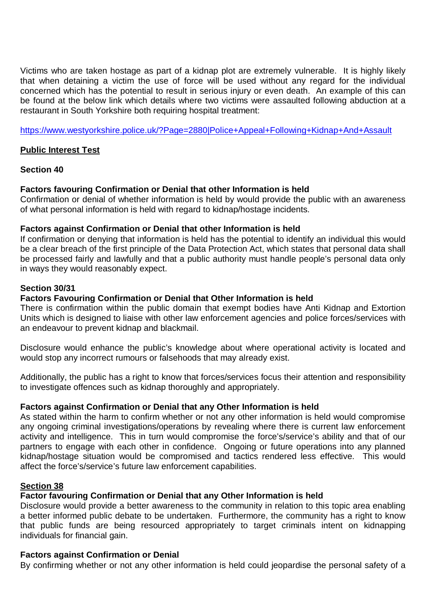Victims who are taken hostage as part of a kidnap plot are extremely vulnerable. It is highly likely that when detaining a victim the use of force will be used without any regard for the individual concerned which has the potential to result in serious injury or even death. An example of this can be found at the below link which details where two victims were assaulted following abduction at a restaurant in South Yorkshire both requiring hospital treatment:

<https://www.westyorkshire.police.uk/?Page=2880|Police+Appeal+Following+Kidnap+And+Assault>

## **Public Interest Test**

### **Section 40**

# **Factors favouring Confirmation or Denial that other Information is held**

Confirmation or denial of whether information is held by would provide the public with an awareness of what personal information is held with regard to kidnap/hostage incidents.

### **Factors against Confirmation or Denial that other Information is held**

If confirmation or denying that information is held has the potential to identify an individual this would be a clear breach of the first principle of the Data Protection Act, which states that personal data shall be processed fairly and lawfully and that a public authority must handle people's personal data only in ways they would reasonably expect.

# **Section 30/31**

# **Factors Favouring Confirmation or Denial that Other Information is held**

There is confirmation within the public domain that exempt bodies have Anti Kidnap and Extortion Units which is designed to liaise with other law enforcement agencies and police forces/services with an endeavour to prevent kidnap and blackmail.

Disclosure would enhance the public's knowledge about where operational activity is located and would stop any incorrect rumours or falsehoods that may already exist.

Additionally, the public has a right to know that forces/services focus their attention and responsibility to investigate offences such as kidnap thoroughly and appropriately.

### **Factors against Confirmation or Denial that any Other Information is held**

As stated within the harm to confirm whether or not any other information is held would compromise any ongoing criminal investigations/operations by revealing where there is current law enforcement activity and intelligence. This in turn would compromise the force's/service's ability and that of our partners to engage with each other in confidence. Ongoing or future operations into any planned kidnap/hostage situation would be compromised and tactics rendered less effective. This would affect the force's/service's future law enforcement capabilities.

### **Section 38**

# **Factor favouring Confirmation or Denial that any Other Information is held**

Disclosure would provide a better awareness to the community in relation to this topic area enabling a better informed public debate to be undertaken. Furthermore, the community has a right to know that public funds are being resourced appropriately to target criminals intent on kidnapping individuals for financial gain.

# **Factors against Confirmation or Denial**

By confirming whether or not any other information is held could jeopardise the personal safety of a